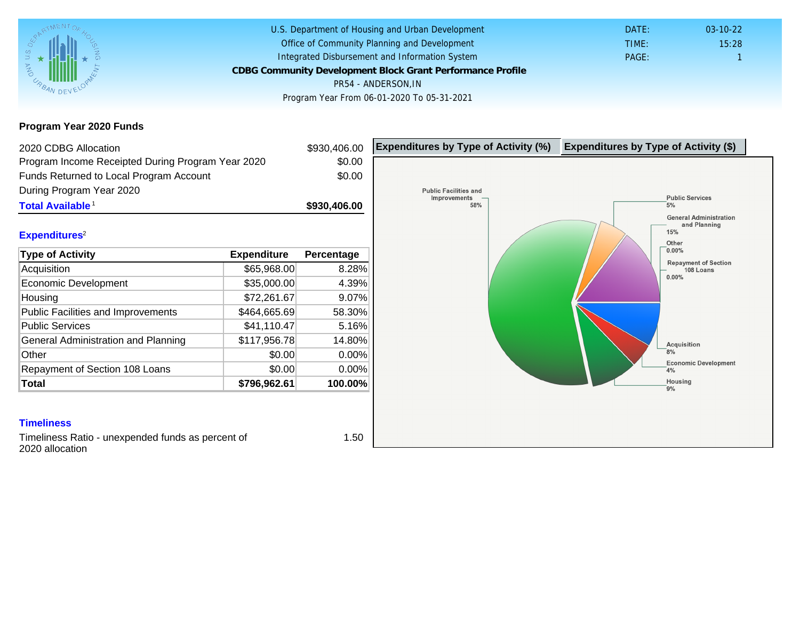## Program Year 2020 Funds

| 2020 CDBG Allocation                                                 |              | \$930,406.00 | Expenditures by Type of Activity (%) | Expenditure |
|----------------------------------------------------------------------|--------------|--------------|--------------------------------------|-------------|
| Program Income Receipted During Program Year 2020                    |              | \$0.00       |                                      |             |
| Funds Returned to Local Program Account                              |              | \$0.00       |                                      |             |
| During Program Year 2020                                             |              |              |                                      |             |
| Total Available <sup>1</sup>                                         |              | \$930,406.00 |                                      |             |
|                                                                      |              |              |                                      |             |
| Expenditures <sup>2</sup>                                            |              |              |                                      |             |
| Type of Activity                                                     | Expenditure  | Percentage   |                                      |             |
| Acquisition                                                          | \$65,968.00  | 8.28%        |                                      |             |
| Economic Development                                                 | \$35,000.00  | 4.39%        |                                      |             |
| Housing                                                              | \$72,261.67  | 9.07%        |                                      |             |
| Public Facilities and Improvements                                   | \$464,665.69 | 58.30%       |                                      |             |
| <b>Public Services</b>                                               | \$41,110.47  | 5.16%        |                                      |             |
| General Administration and Planning                                  | \$117,956.78 | 14.80%       |                                      |             |
| Other                                                                | \$0.00       | 0.00%        |                                      |             |
| Repayment of Section 108 Loans                                       | \$0.00       | 0.00%        |                                      |             |
| Total                                                                | \$796,962.61 | 100.00%      |                                      |             |
|                                                                      |              |              |                                      |             |
| <b>Timeliness</b>                                                    |              |              |                                      |             |
| Timeliness Ratio - unexpended funds as percent of<br>2020 allocation |              | 1.50         |                                      |             |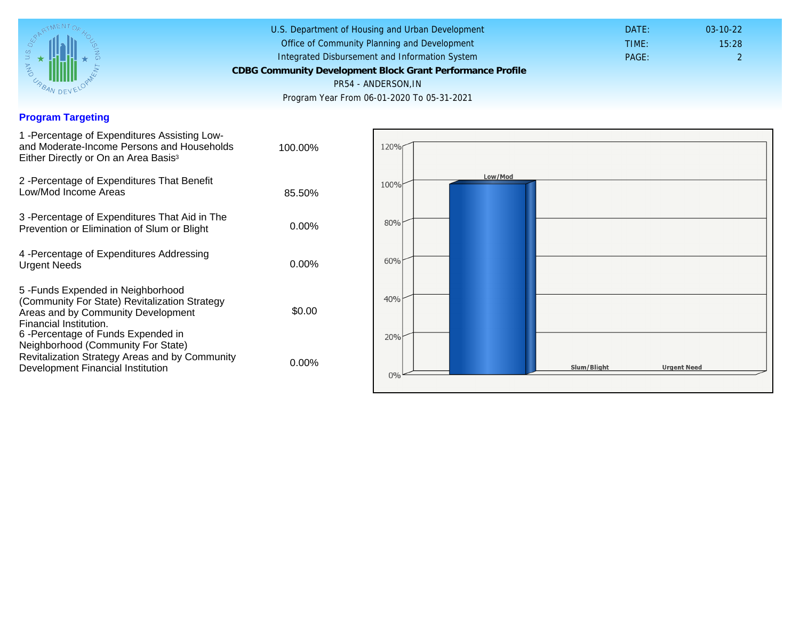### Program Targeting

| 1 - Percentage of Expenditures Assisting Low-<br>and Moderate-Income Persons and Households<br>Either Directly or On an Area Basis <sup>3</sup>                                                                              | 100.00%  |
|------------------------------------------------------------------------------------------------------------------------------------------------------------------------------------------------------------------------------|----------|
| 2 - Percentage of Expenditures That Benefit<br>Low/Mod Income Areas                                                                                                                                                          | 85.50%   |
| 3 - Percentage of Expenditures That Aid in The<br>Prevention or Elimination of Slum or Blight                                                                                                                                | 0.00%    |
| 4 - Percentage of Expenditures Addressing<br><b>Urgent Needs</b>                                                                                                                                                             | $0.00\%$ |
| 5-Funds Expended in Neighborhood<br>(Community For State) Revitalization Strategy<br>Areas and by Community Development<br>Financial Institution.<br>6-Percentage of Funds Expended in<br>Neighborhood (Community For State) | \$0.00   |
| Revitalization Strategy Areas and by Community<br>Development Financial Institution                                                                                                                                          | $0.00\%$ |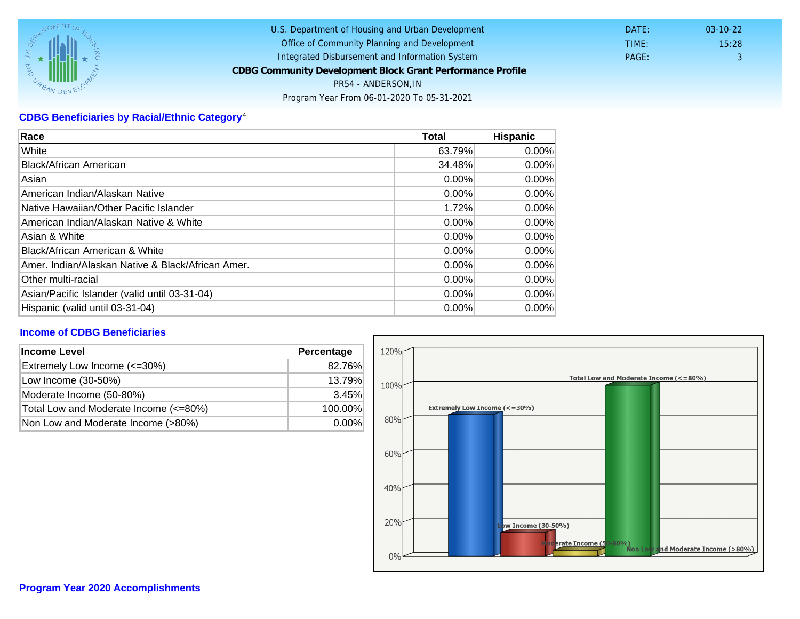# CDBG Beneficiaries by Racial/Ethnic Category <sup>4</sup>

| Race                                              | Total    | Hispanic |
|---------------------------------------------------|----------|----------|
| White                                             | 63.79%   | $0.00\%$ |
| Black/African American                            | 34.48%   | $0.00\%$ |
| Asian                                             | $0.00\%$ | $0.00\%$ |
| American Indian/Alaskan Native                    | 0.00%    | $0.00\%$ |
| lNative Hawaiian/Other Pacific Islander           | 1.72%    | $0.00\%$ |
| American Indian/Alaskan Native & White            | 0.00%    | $0.00\%$ |
| Asian & White                                     | 0.00%    | 0.00%    |
| Black/African American & White                    | $0.00\%$ | $0.00\%$ |
| Amer. Indian/Alaskan Native & Black/African Amer. | $0.00\%$ | $0.00\%$ |
| <b>Other multi-racial</b>                         | 0.00%    | $0.00\%$ |
| Asian/Pacific Islander (valid until 03-31-04)     | $0.00\%$ | $0.00\%$ |
| Hispanic (valid until 03-31-04)                   | $0.00\%$ | 0.00%    |

#### Income of CDBG Beneficiaries

| Income Level                          | Percentage |
|---------------------------------------|------------|
| Extremely Low Income (<=30%)          | 82.76%     |
| Low Income (30-50%)                   | 13.79%     |
| Moderate Income (50-80%)              | 3.45%      |
| Total Low and Moderate Income (<=80%) | 100.00%    |
| Non Low and Moderate Income (>80%)    | $0.00\%$   |